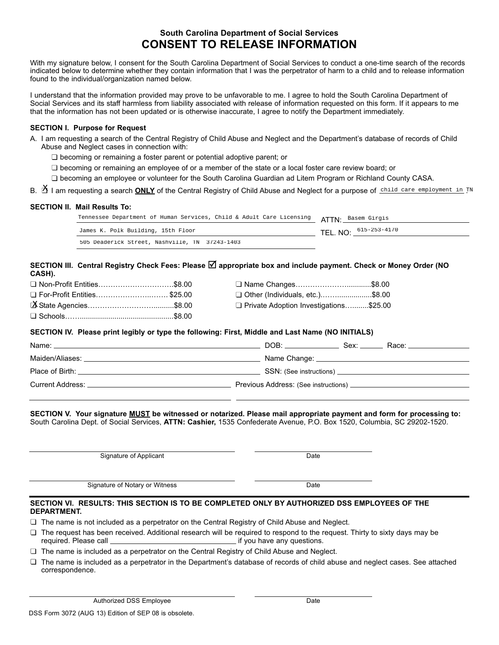# **South Carolina Department of Social Services CONSENT TO RELEASE INFORMATION**

With my signature below, I consent for the South Carolina Department of Social Services to conduct a one-time search of the records indicated below to determine whether they contain information that I was the perpetrator of harm to a child and to release information found to the individual/organization named below.

I understand that the information provided may prove to be unfavorable to me. I agree to hold the South Carolina Department of Social Services and its staff harmless from liability associated with release of information requested on this form. If it appears to me that the information has not been updated or is otherwise inaccurate, I agree to notify the Department immediately.

## **SECTION I. Purpose for Request**

- A. I am requesting a search of the Central Registry of Child Abuse and Neglect and the Department's database of records of Child Abuse and Neglect cases in connection with:
	- $\square$  becoming or remaining a foster parent or potential adoptive parent; or
	- $\Box$  becoming or remaining an employee of or a member of the state or a local foster care review board; or
	- □ becoming an employee or volunteer for the South Carolina Guardian ad Litem Program or Richland County CASA.
- 

## **SECTION II. Mail Results To:**

| B. <b>Δ I am requesting a search <u>ONLY</u> of the Central Registry of Child Abuse and Neglect for a purpose of</b> <u>child care employment in</u> ™ |                                                                      |                                |  |  |
|--------------------------------------------------------------------------------------------------------------------------------------------------------|----------------------------------------------------------------------|--------------------------------|--|--|
|                                                                                                                                                        | SECTION II. Mail Results To:                                         |                                |  |  |
|                                                                                                                                                        | Tennessee Department of Human Services, Child & Adult Care Licensing | ATTN <sup>.</sup> Basem Girgis |  |  |
|                                                                                                                                                        | James K. Polk Building, 15th Floor                                   | TEL. NO: 615-253-4170          |  |  |
|                                                                                                                                                        | 505 Deaderick Street, Nashville, TN 37243-1403                       |                                |  |  |
|                                                                                                                                                        |                                                                      |                                |  |  |

**SECTION III. Central Registry Check Fees: Please** R **appropriate box and include payment. Check or Money Order (NO CASH).**

|                               | □ Name Changes\$8.00                     |  |
|-------------------------------|------------------------------------------|--|
| □ For-Profit Entities \$25.00 | □ Other (Individuals, etc.)\$8.00        |  |
|                               | □ Private Adoption Investigations\$25.00 |  |
|                               |                                          |  |

#### **SECTION IV. Please print legibly or type the following: First, Middle and Last Name (NO INITIALS)**

| Name:            | DOB:<br>Race: ________________<br>Sex: |
|------------------|----------------------------------------|
|                  |                                        |
|                  |                                        |
| Current Address: |                                        |

**SECTION V. Your signature MUST be witnessed or notarized. Please mail appropriate payment and form for processing to:** South Carolina Dept. of Social Services, **ATTN: Cashier,** 1535 Confederate Avenue, P.O. Box 1520, Columbia, SC 29202-1520.

Signature of Applicant Date

Signature of Notary or Witness Date

### **SECTION VI. RESULTS: THIS SECTION IS TO BE COMPLETED ONLY BY AUTHORIZED DSS EMPLOYEES OF THE DEPARTMENT.**

- $\Box$  The name is not included as a perpetrator on the Central Registry of Child Abuse and Neglect.
- n The request has been received. Additional research will be required to respond to the request. Thirty to sixty days may be \_ if you have any questions.
- $\Box$  The name is included as a perpetrator on the Central Registry of Child Abuse and Neglect.
- $\Box$  The name is included as a perpetrator in the Department's database of records of child abuse and neglect cases. See attached correspondence.